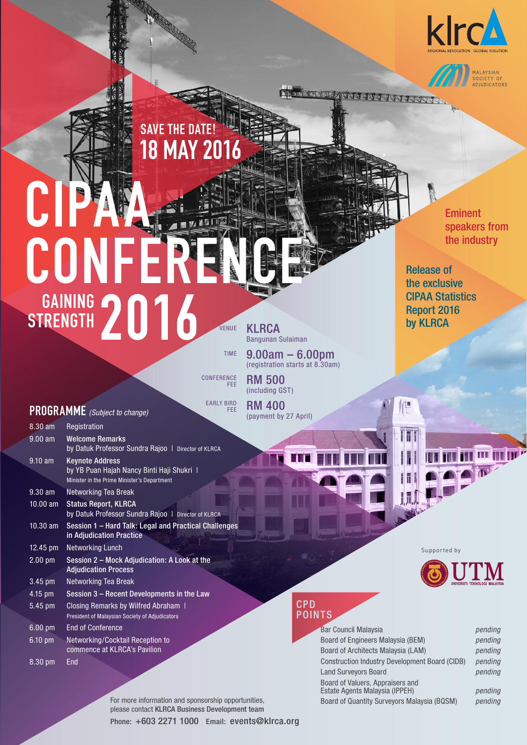

MALAYSIAN<br>SOCIETY OF<br>ADJUDICATORS



# CIPAA  $M^{25}$ CON STRENGTH 2016 **STRENGTH** VENUE

**KLRCA** Bangunan Sulaiman

RM 500 (including GST) RM 400 (payment by 27 April)

9.00am – 6.00pm (registration starts at 8.30am)

**CONFERENCE** FEE

TIME

EARLY BIRD FEE

## **PROGRAMME** *(Subject to change)*

| $8.30$ am         | Registration                                                                                                        |
|-------------------|---------------------------------------------------------------------------------------------------------------------|
| $9.00$ am         | <b>Welcome Remarks</b><br>by Datuk Professor Sundra Rajoo   Director of KLRCA                                       |
| $9.10 \text{ am}$ | <b>Keynote Address</b><br>by YB Puan Hajah Nancy Binti Haji Shukri  <br>Minister in the Prime Minister's Department |
| $9.30$ am         | Networking Tea Break                                                                                                |
| $10.00$ am        | <b>Status Report, KLRCA</b><br>by Datuk Professor Sundra Rajoo   Director of KLRCA                                  |
| $10.30$ am        | Session 1 - Hard Talk: Legal and Practical Challenges<br>in Adjudication Practice                                   |
| 12.45 pm          | <b>Networking Lunch</b>                                                                                             |
| $2.00$ pm         | Session 2 - Mock Adjudication: A Look at the<br><b>Adjudication Process</b>                                         |
| $3.45$ pm         | Networking Tea Break                                                                                                |
| $4.15$ pm         | Session 3 – Recent Developments in the Law                                                                          |
| $5.45$ pm         | Closing Remarks by Wilfred Abraham 1<br>President of Malaysian Society of Adjudicators                              |
| $6.00 \text{ pm}$ | <b>End of Conference</b>                                                                                            |
| $6.10 \text{ pm}$ | <b>Networking/Cocktail Reception to</b><br>commence at KLRCA's Pavilion                                             |

8.30 pm End

佃

IT



mini mimini v

 $\mathbb{R}^3$ 

### CPD POINTS

| <b>Bar Council Malaysia</b>                                        | pending |
|--------------------------------------------------------------------|---------|
| Board of Engineers Malaysia (BEM)                                  | pending |
| Board of Architects Malaysia (LAM)                                 | pending |
| <b>Construction Industry Development Board (CIDB)</b>              | pending |
| <b>Land Surveyors Board</b>                                        | pending |
| Board of Valuers, Appraisers and<br>Estate Agents Malaysia (IPPEH) | pending |
| Board of Quantity Surveyors Malaysia (BOSM)                        | nendina |

For more information and sponsorship opportunities, please contact KLRCA Business Development team Phone: +603 2271 1000 Email: events@klrca.org

Eminent speakers from the industry

Release of the exclusive CIPAA Statistics Report 2016 by KLRCA

MANANNINNE

Supported by

Estate Agents Malaysia (IPPEH) *pending* Board of Quantity Surveyors Malaysia (BQSM) *pending*